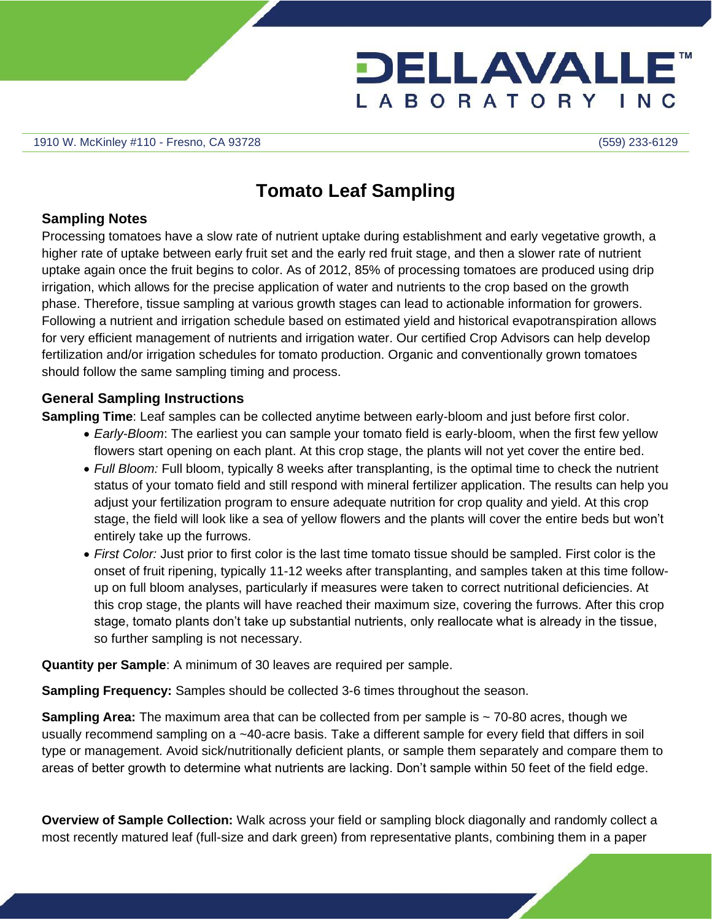

## **Tomato Leaf Sampling**

## **Sampling Notes**

Processing tomatoes have a slow rate of nutrient uptake during establishment and early vegetative growth, a higher rate of uptake between early fruit set and the early red fruit stage, and then a slower rate of nutrient uptake again once the fruit begins to color. As of 2012, 85% of processing tomatoes are produced using drip irrigation, which allows for the precise application of water and nutrients to the crop based on the growth phase. Therefore, tissue sampling at various growth stages can lead to actionable information for growers. Following a nutrient and irrigation schedule based on estimated yield and historical evapotranspiration allows for very efficient management of nutrients and irrigation water. Our certified Crop Advisors can help develop fertilization and/or irrigation schedules for tomato production. Organic and conventionally grown tomatoes should follow the same sampling timing and process.

## **General Sampling Instructions**

**Sampling Time**: Leaf samples can be collected anytime between early-bloom and just before first color.

- *Early-Bloom*: The earliest you can sample your tomato field is early-bloom, when the first few yellow flowers start opening on each plant. At this crop stage, the plants will not yet cover the entire bed.
- *Full Bloom:* Full bloom, typically 8 weeks after transplanting, is the optimal time to check the nutrient status of your tomato field and still respond with mineral fertilizer application. The results can help you adjust your fertilization program to ensure adequate nutrition for crop quality and yield. At this crop stage, the field will look like a sea of yellow flowers and the plants will cover the entire beds but won't entirely take up the furrows.
- *First Color:* Just prior to first color is the last time tomato tissue should be sampled. First color is the onset of fruit ripening, typically 11-12 weeks after transplanting, and samples taken at this time followup on full bloom analyses, particularly if measures were taken to correct nutritional deficiencies. At this crop stage, the plants will have reached their maximum size, covering the furrows. After this crop stage, tomato plants don't take up substantial nutrients, only reallocate what is already in the tissue, so further sampling is not necessary.

**Quantity per Sample**: A minimum of 30 leaves are required per sample.

**Sampling Frequency:** Samples should be collected 3-6 times throughout the season.

**Sampling Area:** The maximum area that can be collected from per sample is ~70-80 acres, though we usually recommend sampling on a ~40-acre basis. Take a different sample for every field that differs in soil type or management. Avoid sick/nutritionally deficient plants, or sample them separately and compare them to areas of better growth to determine what nutrients are lacking. Don't sample within 50 feet of the field edge.

**Overview of Sample Collection:** Walk across your field or sampling block diagonally and randomly collect a most recently matured leaf (full-size and dark green) from representative plants, combining them in a paper